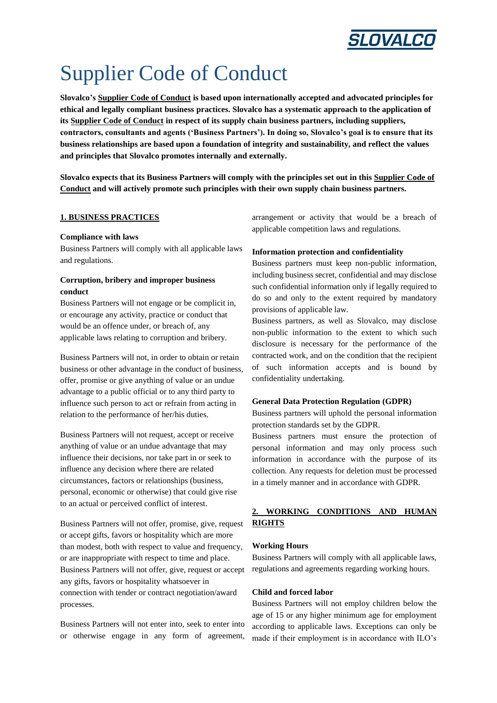

# Supplier Code of Conduct

**Slovalco's Supplier Code of Conduct is based upon internationally accepted and advocated principles for ethical and legally compliant business practices. Slovalco has a systematic approach to the application of its Supplier Code of Conduct in respect of its supply chain business partners, including suppliers, contractors, consultants and agents ('Business Partners'). In doing so, Slovalco's goal is to ensure that its business relationships are based upon a foundation of integrity and sustainability, and reflect the values and principles that Slovalco promotes internally and externally.**

**Slovalco expects that its Business Partners will comply with the principles set out in this Supplier Code of Conduct and will actively promote such principles with their own supply chain business partners.**

## **1. BUSINESS PRACTICES**

#### **Compliance with laws**

Business Partners will comply with all applicable laws and regulations.

# **Corruption, bribery and improper business conduct**

Business Partners will not engage or be complicit in, or encourage any activity, practice or conduct that would be an offence under, or breach of, any applicable laws relating to corruption and bribery.

Business Partners will not, in order to obtain or retain business or other advantage in the conduct of business, offer, promise or give anything of value or an undue advantage to a public official or to any third party to influence such person to act or refrain from acting in relation to the performance of her/his duties.

Business Partners will not request, accept or receive anything of value or an undue advantage that may influence their decisions, nor take part in or seek to influence any decision where there are related circumstances, factors or relationships (business, personal, economic or otherwise) that could give rise to an actual or perceived conflict of interest.

Business Partners will not offer, promise, give, request or accept gifts, favors or hospitality which are more than modest, both with respect to value and frequency, or are inappropriate with respect to time and place. Business Partners will not offer, give, request or accept any gifts, favors or hospitality whatsoever in connection with tender or contract negotiation/award processes.

Business Partners will not enter into, seek to enter into or otherwise engage in any form of agreement, arrangement or activity that would be a breach of applicable competition laws and regulations.

#### **Information protection and confidentiality**

Business partners must keep non-public information, including business secret, confidential and may disclose such confidential information only if legally required to do so and only to the extent required by mandatory provisions of applicable law.

Business partners, as well as Slovalco, may disclose non-public information to the extent to which such disclosure is necessary for the performance of the contracted work, and on the condition that the recipient of such information accepts and is bound by confidentiality undertaking.

#### **General Data Protection Regulation (GDPR)**

Business partners will uphold the personal information protection standards set by the GDPR.

Business partners must ensure the protection of personal information and may only process such information in accordance with the purpose of its collection. Any requests for deletion must be processed in a timely manner and in accordance with GDPR.

# **2. WORKING CONDITIONS AND HUMAN RIGHTS**

#### **Working Hours**

Business Partners will comply with all applicable laws, regulations and agreements regarding working hours.

#### **Child and forced labor**

Business Partners will not employ children below the age of 15 or any higher minimum age for employment according to applicable laws. Exceptions can only be made if their employment is in accordance with ILO's